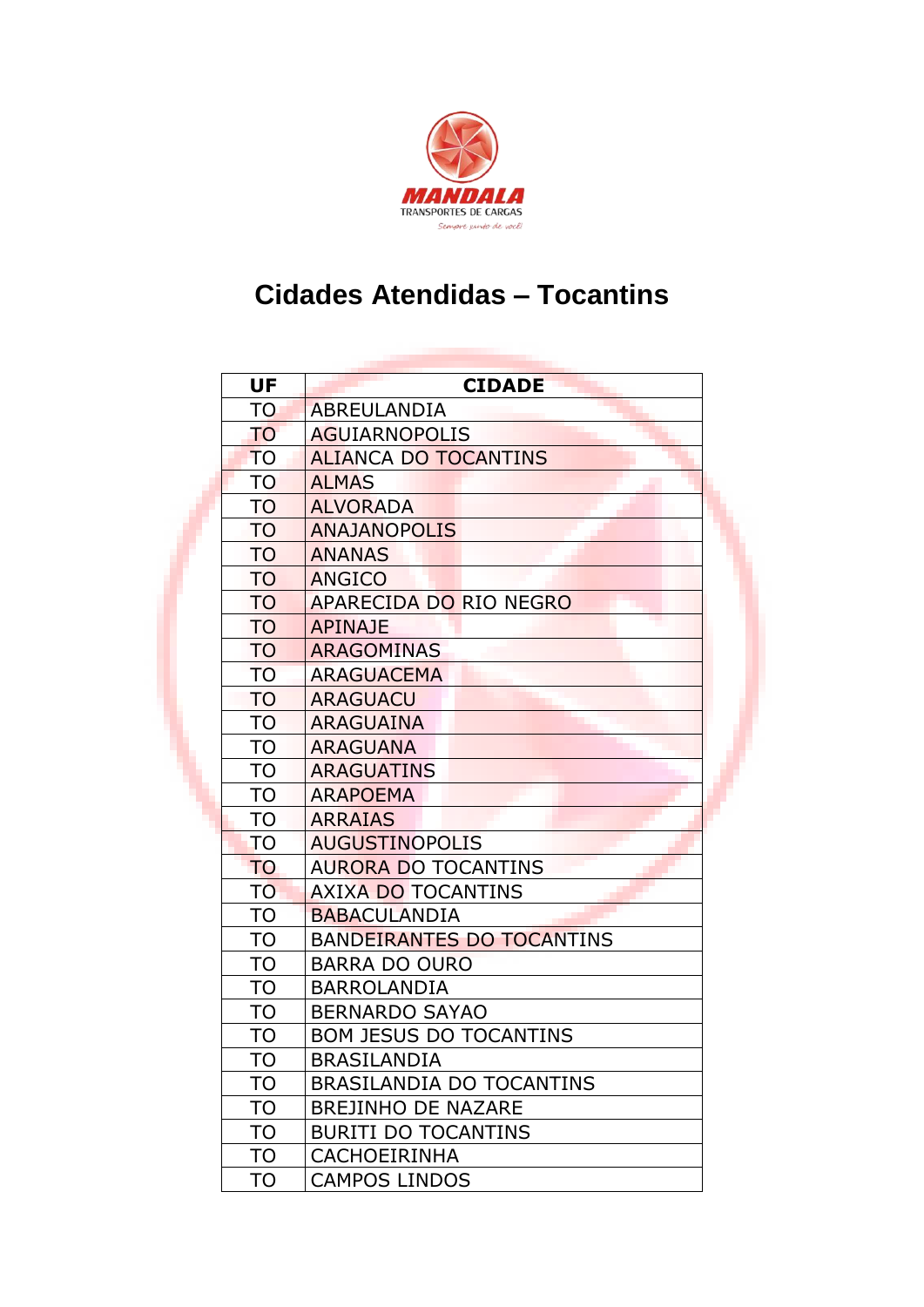

## **Cidades Atendidas – Tocantins**

| <b>UF</b> | <b>CIDADE</b>                    |
|-----------|----------------------------------|
| TO.       | ABREULANDIA                      |
| <b>TO</b> | <b>AGUIARNOPOLIS</b>             |
| <b>TO</b> | <b>ALIANCA DO TOCANTINS</b>      |
| <b>TO</b> | <b>ALMAS</b>                     |
| <b>TO</b> | <b>ALVORADA</b>                  |
| <b>TO</b> | <b>ANAJANOPOLIS</b>              |
| <b>TO</b> | <b>ANANAS</b>                    |
| <b>TO</b> | <b>ANGICO</b>                    |
| <b>TO</b> | APARECIDA DO RIO NEGRO           |
| <b>TO</b> | <b>APINAJE</b>                   |
| <b>TO</b> | <b>ARAGOMINAS</b>                |
| <b>TO</b> | <b>ARAGUACEMA</b>                |
| TO        | <b>ARAGUACU</b>                  |
| <b>TO</b> | ARAGUAINA                        |
| <b>TO</b> | <b>ARAGUANA</b>                  |
| TO        | <b>ARAGUATINS</b>                |
| <b>TO</b> | <b>ARAPOEMA</b>                  |
| <b>TO</b> | <b>ARRAIAS</b>                   |
| TO        | <b>AUGUSTINOPOLIS</b>            |
| <b>TO</b> | <b>AURORA DO TOCANTINS</b>       |
| TO        | <b>AXIXA DO TOCANTINS</b>        |
| <b>TO</b> | <b>BABACULANDIA</b>              |
| <b>TO</b> | <b>BANDEIRANTES DO TOCANTINS</b> |
| <b>TO</b> | <b>BARRA DO OURO</b>             |
| TO        | <b>BARROLANDIA</b>               |
| <b>TO</b> | <b>BERNARDO SAYAO</b>            |
| TO        | <b>BOM JESUS DO TOCANTINS</b>    |
| <b>TO</b> | BRASILANDIA                      |
| <b>TO</b> | BRASILANDIA DO TOCANTINS         |
| <b>TO</b> | <b>BREJINHO DE NAZARE</b>        |
| <b>TO</b> | <b>BURITI DO TOCANTINS</b>       |
| TO        | <b>CACHOEIRINHA</b>              |
| <b>TO</b> | <b>CAMPOS LINDOS</b>             |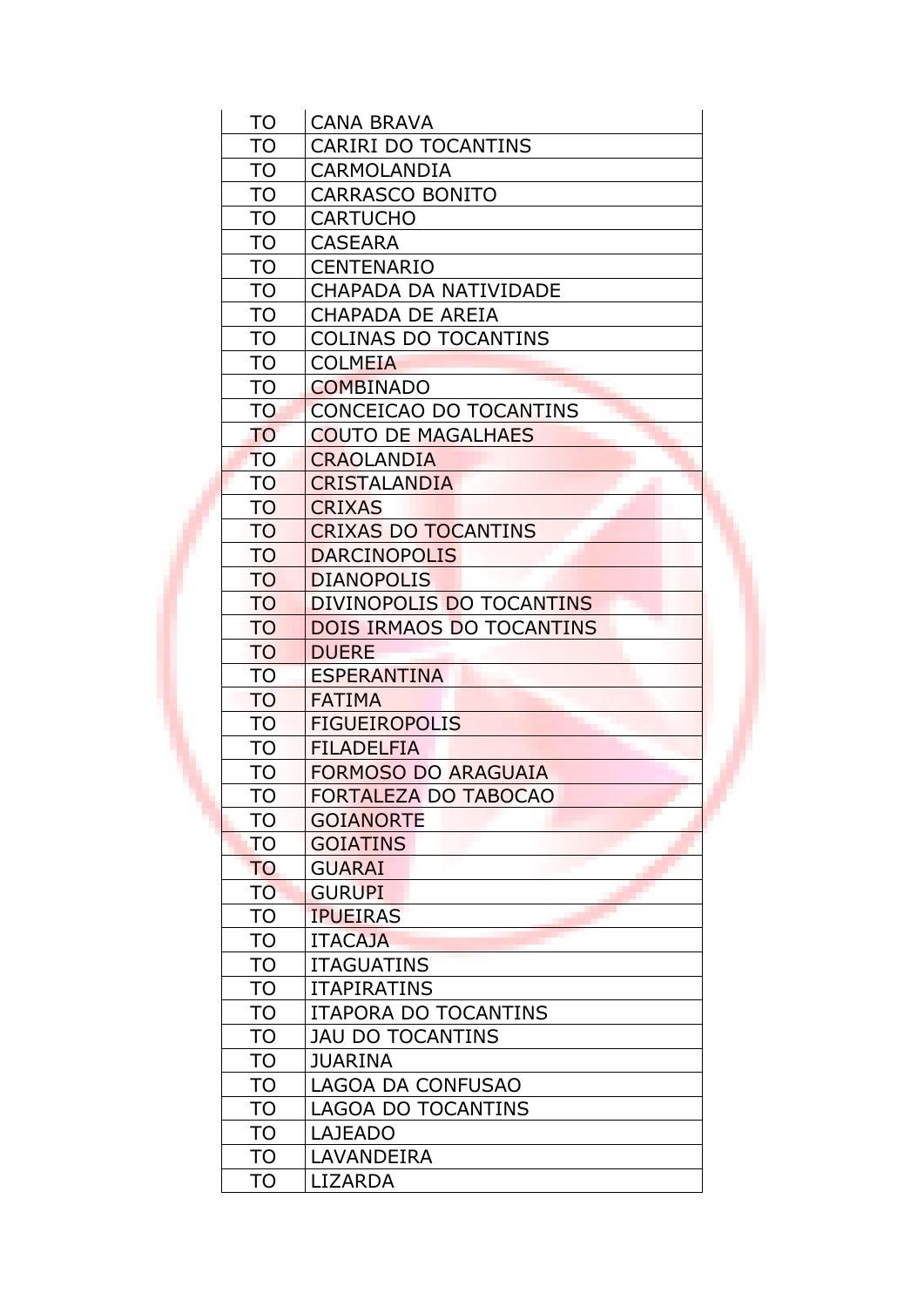| TO        | <b>CANA BRAVA</b>               |  |
|-----------|---------------------------------|--|
| TO        | <b>CARIRI DO TOCANTINS</b>      |  |
| <b>TO</b> | CARMOLANDIA                     |  |
| TO        | <b>CARRASCO BONITO</b>          |  |
| <b>TO</b> | <b>CARTUCHO</b>                 |  |
| <b>TO</b> | <b>CASEARA</b>                  |  |
| <b>TO</b> | <b>CENTENARIO</b>               |  |
| <b>TO</b> | CHAPADA DA NATIVIDADE           |  |
| <b>TO</b> | CHAPADA DE AREIA                |  |
| <b>TO</b> | <b>COLINAS DO TOCANTINS</b>     |  |
| <b>TO</b> | <b>COLMEIA</b>                  |  |
| <b>TO</b> | <b>COMBINADO</b>                |  |
| <b>TO</b> | CONCEICAO DO TOCANTINS          |  |
| <b>TO</b> | <b>COUTO DE MAGALHAES</b>       |  |
| <b>TO</b> | <b>CRAOLANDIA</b>               |  |
| <b>TO</b> | <b>CRISTALANDIA</b>             |  |
| TO        | <b>CRIXAS</b>                   |  |
| <b>TO</b> | <b>CRIXAS DO TOCANTINS</b>      |  |
| <b>TO</b> | <b>DARCINOPOLIS</b>             |  |
| <b>TO</b> | <b>DIANOPOLIS</b>               |  |
| <b>TO</b> | DIVINOPOLIS DO TOCANTINS        |  |
| <b>TO</b> | <b>DOIS IRMAOS DO TOCANTINS</b> |  |
| <b>TO</b> | <b>DUERE</b>                    |  |
| <b>TO</b> | <b>ESPERANTINA</b>              |  |
| <b>TO</b> | <b>FATIMA</b>                   |  |
| <b>TO</b> | <b>FIGUEIROPOLIS</b>            |  |
| <b>TO</b> | <b>FILADELFIA</b>               |  |
| <b>TO</b> | <b>FORMOSO DO ARAGUAIA</b>      |  |
| TO        | <b>FORTALEZA DO TABOCAO</b>     |  |
| TO        | <b>GOIANORTE</b>                |  |
| <b>TO</b> | <b>GOIATINS</b>                 |  |
| <b>TO</b> | <b>GUARAI</b>                   |  |
| <b>TO</b> | <b>GURUPI</b>                   |  |
| <b>TO</b> | <b>IPUEIRAS</b>                 |  |
| <b>TO</b> | <b>ITACAJA</b>                  |  |
| <b>TO</b> | <b>ITAGUATINS</b>               |  |
| <b>TO</b> | <b>ITAPIRATINS</b>              |  |
| <b>TO</b> | <b>ITAPORA DO TOCANTINS</b>     |  |
| <b>TO</b> | <b>JAU DO TOCANTINS</b>         |  |
| <b>TO</b> | <b>JUARINA</b>                  |  |
| <b>TO</b> | LAGOA DA CONFUSAO               |  |
| <b>TO</b> | <b>LAGOA DO TOCANTINS</b>       |  |
| TO        | <b>LAJEADO</b>                  |  |
| TO        | LAVANDEIRA                      |  |
| TO        | <b>LIZARDA</b>                  |  |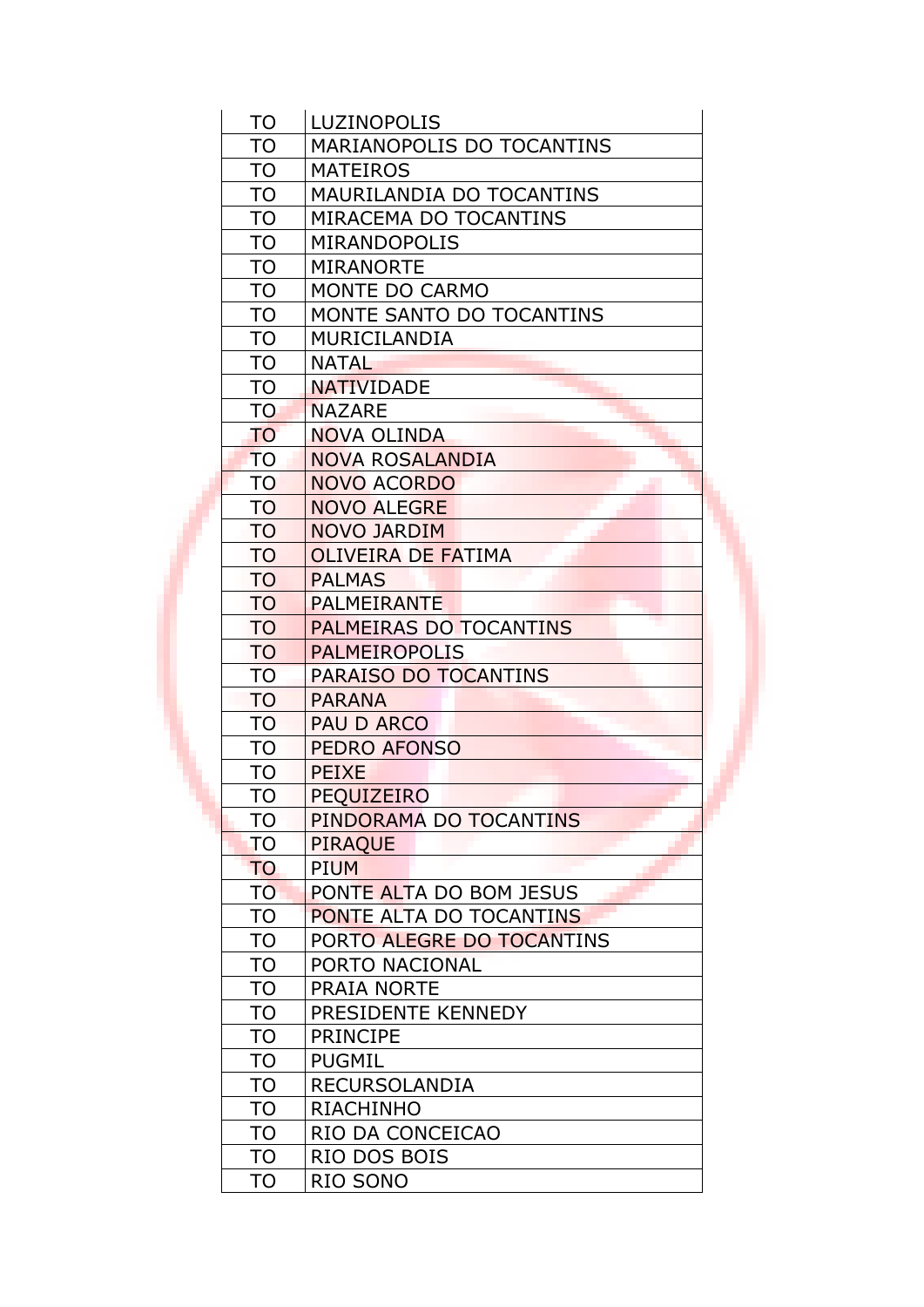| <b>TO</b>       | <b>LUZINOPOLIS</b>        |  |
|-----------------|---------------------------|--|
| <b>TO</b>       | MARIANOPOLIS DO TOCANTINS |  |
| <b>TO</b>       | <b>MATEIROS</b>           |  |
| <b>TO</b>       | MAURILANDIA DO TOCANTINS  |  |
| <b>TO</b>       | MIRACEMA DO TOCANTINS     |  |
| <b>TO</b>       | <b>MIRANDOPOLIS</b>       |  |
| <b>TO</b>       | <b>MIRANORTE</b>          |  |
| <b>TO</b>       | MONTE DO CARMO            |  |
| <b>TO</b>       | MONTE SANTO DO TOCANTINS  |  |
| <b>TO</b>       | <b>MURICILANDIA</b>       |  |
| <b>TO</b>       | <b>NATAL</b>              |  |
| <b>TO</b>       | <b>NATIVIDADE</b>         |  |
| TO <sub>1</sub> | <b>NAZARE</b>             |  |
| <b>TO</b>       | <b>NOVA OLINDA</b>        |  |
| <b>TO</b>       | <b>NOVA ROSALANDIA</b>    |  |
| <b>TO</b>       | <b>NOVO ACORDO</b>        |  |
| <b>TO</b>       | <b>NOVO ALEGRE</b>        |  |
| <b>TO</b>       | NOVO JARDIM               |  |
| <b>TO</b>       | <b>OLIVEIRA DE FATIMA</b> |  |
| <b>TO</b>       | <b>PALMAS</b>             |  |
| <b>TO</b>       | <b>PALMEIRANTE</b>        |  |
| <b>TO</b>       | PALMEIRAS DO TOCANTINS    |  |
| <b>TO</b>       | <b>PALMEIROPOLIS</b>      |  |
| <b>TO</b>       | PARAISO DO TOCANTINS      |  |
| <b>TO</b>       | <b>PARANA</b>             |  |
| <b>TO</b>       | <b>PAU D ARCO</b>         |  |
| <b>TO</b>       | PEDRO AFONSO              |  |
| <b>TO</b>       | <b>PEIXE</b>              |  |
| <b>TO</b>       | <b>PEQUIZEIRO</b>         |  |
| <b>TO</b>       | PINDORAMA DO TOCANTINS    |  |
| <b>TO</b>       | <b>PIRAQUE</b>            |  |
| <b>TO</b>       | <b>PIUM</b>               |  |
| <b>TO</b>       | PONTE ALTA DO BOM JESUS   |  |
| <b>TO</b>       | PONTE ALTA DO TOCANTINS   |  |
| <b>TO</b>       | PORTO ALEGRE DO TOCANTINS |  |
| <b>TO</b>       | PORTO NACIONAL            |  |
| TO              | <b>PRAIA NORTE</b>        |  |
| <b>TO</b>       | PRESIDENTE KENNEDY        |  |
| <b>TO</b>       | <b>PRINCIPE</b>           |  |
| <b>TO</b>       | <b>PUGMIL</b>             |  |
| <b>TO</b>       | <b>RECURSOLANDIA</b>      |  |
| TO              | <b>RIACHINHO</b>          |  |
| TO              | RIO DA CONCEICAO          |  |
| <b>TO</b>       | RIO DOS BOIS              |  |
| TO              | RIO SONO                  |  |